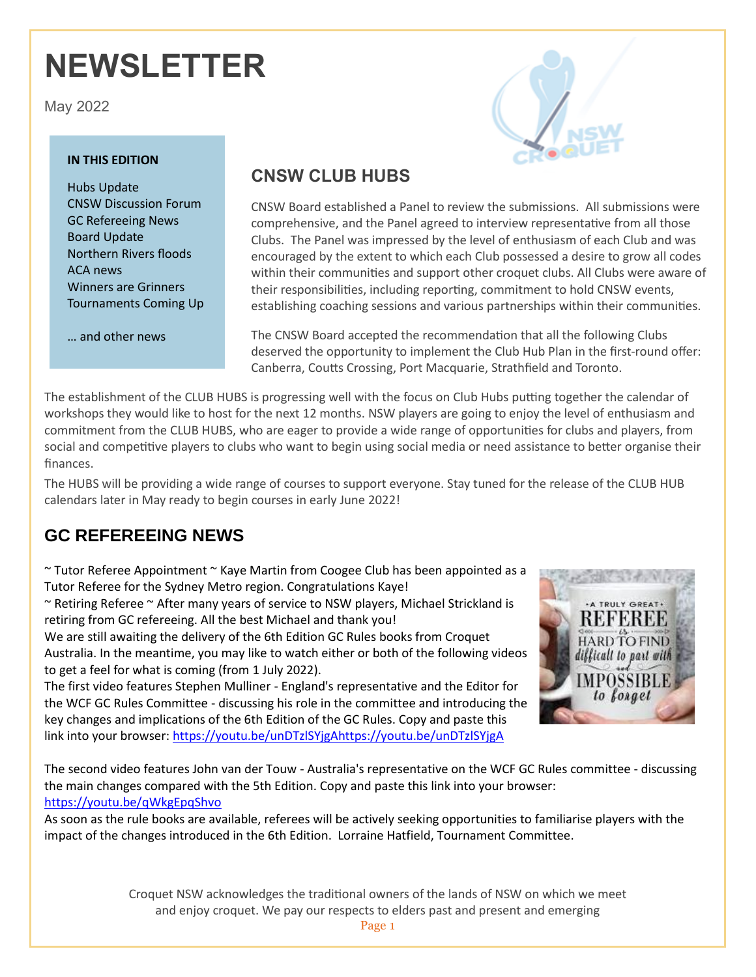# **NEWSLETTER**

May 2022

#### **IN THIS EDITION**

Hubs Update CNSW Discussion Forum GC Refereeing News Board Update Northern Rivers floods ACA news Winners are Grinners Tournaments Coming Up

… and other news



## **CNSW CLUB HUBS**

CNSW Board established a Panel to review the submissions. All submissions were comprehensive, and the Panel agreed to interview representative from all those Clubs. The Panel was impressed by the level of enthusiasm of each Club and was encouraged by the extent to which each Club possessed a desire to grow all codes within their communities and support other croquet clubs. All Clubs were aware of their responsibilities, including reporting, commitment to hold CNSW events, establishing coaching sessions and various partnerships within their communities.

The CNSW Board accepted the recommendation that all the following Clubs deserved the opportunity to implement the Club Hub Plan in the first-round offer: Canberra, Coutts Crossing, Port Macquarie, Strathfield and Toronto.

The establishment of the CLUB HUBS is progressing well with the focus on Club Hubs putting together the calendar of workshops they would like to host for the next 12 months. NSW players are going to enjoy the level of enthusiasm and commitment from the CLUB HUBS, who are eager to provide a wide range of opportunities for clubs and players, from social and competitive players to clubs who want to begin using social media or need assistance to better organise their finances.

The HUBS will be providing a wide range of courses to support everyone. Stay tuned for the release of the CLUB HUB calendars later in May ready to begin courses in early June 2022!

# **GC REFEREEING NEWS**

 $\sim$  Tutor Referee Appointment  $\sim$  Kaye Martin from Coogee Club has been appointed as a Tutor Referee for the Sydney Metro region. Congratulations Kaye!

~ Retiring Referee ~ After many years of service to NSW players, Michael Strickland is retiring from GC refereeing. All the best Michael and thank you!

We are still awaiting the delivery of the 6th Edition GC Rules books from Croquet Australia. In the meantime, you may like to watch either or both of the following videos to get a feel for what is coming (from 1 July 2022).

The first video features Stephen Mulliner - England's representative and the Editor for the WCF GC Rules Committee - discussing his role in the committee and introducing the key changes and implications of the 6th Edition of the GC Rules. Copy and paste this link into your browser: [https://youtu.be/unDTzlSYjgAhttps://youtu.be/unDTzlSYjgA](https://youtu.be/unDTzlSYjgAhttps:/youtu.be/unDTzlSYjgA)



The second video features John van der Touw - Australia's representative on the WCF GC Rules committee - discussing the main changes compared with the 5th Edition. Copy and paste this link into your browser: <https://youtu.be/qWkgEpqShvo>

As soon as the rule books are available, referees will be actively seeking opportunities to familiarise players with the impact of the changes introduced in the 6th Edition. Lorraine Hatfield, Tournament Committee.

> Croquet NSW acknowledges the traditional owners of the lands of NSW on which we meet and enjoy croquet. We pay our respects to elders past and present and emerging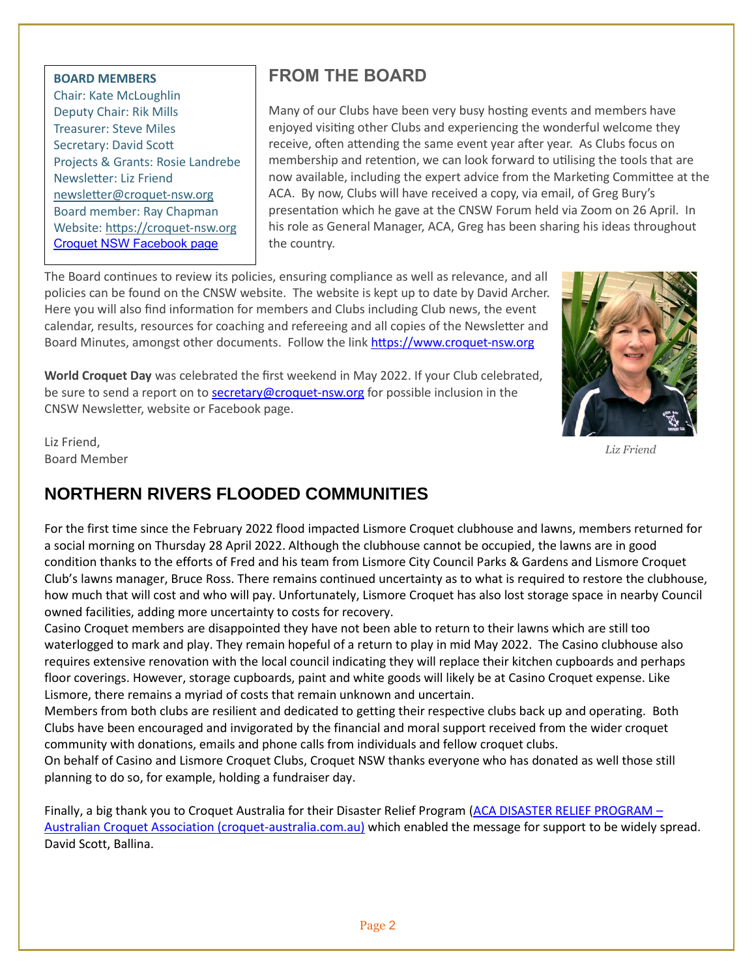#### **BOARD MEMBERS**

Chair: Kate McLoughlin Deputy Chair: Rik Mills Treasurer: Steve Miles Secretary: David Scott Projects & Grants: Rosie Landrebe Newsletter: Liz Friend [newsletter@croquet-nsw.org](file:///C:/Users/kmcl1/AppData/Local/Packages/microsoft.windowscommunicationsapps_8wekyb3d8bbwe/LocalState/Files/S0/2979/Attachments/newsletter@croquet-nsw.org) Board member: Ray Chapman Website: [https://croquet-nsw.org](https://croquet-nsw.org/) [Croquet NSW Facebook page](https://www.facebook.com/groups/204121004882119/)

# **FROM THE BOARD**

Many of our Clubs have been very busy hosting events and members have enjoyed visiting other Clubs and experiencing the wonderful welcome they receive, often attending the same event year after year. As Clubs focus on membership and retention, we can look forward to utilising the tools that are now available, including the expert advice from the Marketing Committee at the ACA. By now, Clubs will have received a copy, via email, of Greg Bury's presentation which he gave at the CNSW Forum held via Zoom on 26 April. In his role as General Manager, ACA, Greg has been sharing his ideas throughout the country.

The Board continues to review its policies, ensuring compliance as well as relevance, and all policies can be found on the CNSW website. The website is kept up to date by David Archer. Here you will also find information for members and Clubs including Club news, the event calendar, results, resources for coaching and refereeing and all copies of the Newsletter and Board Minutes, amongst other documents. Follow the link [https://www.croquet-nsw.org](https://www.croquet-nsw.org/)

**World Croquet Day** was celebrated the first weekend in May 2022. If your Club celebrated, be sure to send a report on t[o secretary@croquet-nsw.org](mailto:secretary@croquet-nsw.org) for possible inclusion in the CNSW Newsletter, website or Facebook page.



 *Liz Friend*

Liz Friend, Board Member

# **NORTHERN RIVERS FLOODED COMMUNITIES**

For the first time since the February 2022 flood impacted Lismore Croquet clubhouse and lawns, members returned for a social morning on Thursday 28 April 2022. Although the clubhouse cannot be occupied, the lawns are in good condition thanks to the efforts of Fred and his team from Lismore City Council Parks & Gardens and Lismore Croquet Club's lawns manager, Bruce Ross. There remains continued uncertainty as to what is required to restore the clubhouse, how much that will cost and who will pay. Unfortunately, Lismore Croquet has also lost storage space in nearby Council owned facilities, adding more uncertainty to costs for recovery.

Casino Croquet members are disappointed they have not been able to return to their lawns which are still too waterlogged to mark and play. They remain hopeful of a return to play in mid May 2022. The Casino clubhouse also requires extensive renovation with the local council indicating they will replace their kitchen cupboards and perhaps floor coverings. However, storage cupboards, paint and white goods will likely be at Casino Croquet expense. Like Lismore, there remains a myriad of costs that remain unknown and uncertain.

Members from both clubs are resilient and dedicated to getting their respective clubs back up and operating. Both Clubs have been encouraged and invigorated by the financial and moral support received from the wider croquet community with donations, emails and phone calls from individuals and fellow croquet clubs.

On behalf of Casino and Lismore Croquet Clubs, Croquet NSW thanks everyone who has donated as well those still planning to do so, for example, holding a fundraiser day.

Finally, a big thank you to Croquet Australia for their Disaster Relief Program [\(ACA DISASTER RELIEF PROGRAM](https://croquet-australia.com.au/2022/03/11/aca-disaster-relief-program/#:~:text=CROQUET%20AUSTRALIA%20DISASTER%20RELIEF%20PROGRAM%20The%20Croquet%20Australia,can%20nominate%20to%20join%20if%20not%20automatically%20included.) – [Australian Croquet Association \(croquet-australia.com.au\)](https://croquet-australia.com.au/2022/03/11/aca-disaster-relief-program/#:~:text=CROQUET%20AUSTRALIA%20DISASTER%20RELIEF%20PROGRAM%20The%20Croquet%20Australia,can%20nominate%20to%20join%20if%20not%20automatically%20included.) which enabled the message for support to be widely spread. David Scott, Ballina.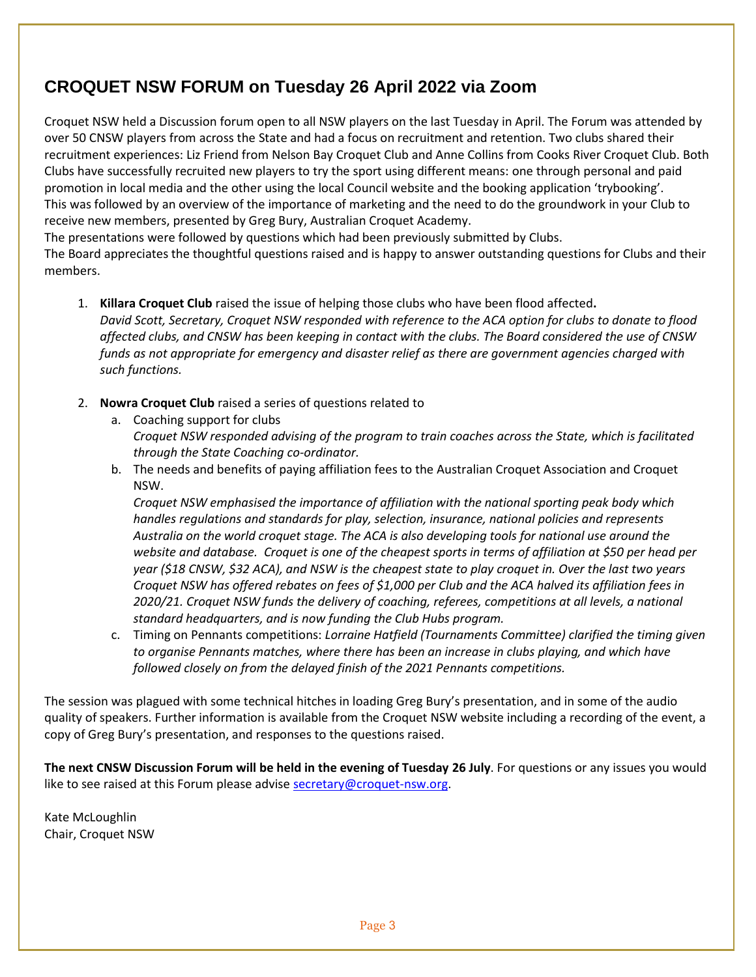# **CROQUET NSW FORUM on Tuesday 26 April 2022 via Zoom**

Croquet NSW held a Discussion forum open to all NSW players on the last Tuesday in April. The Forum was attended by over 50 CNSW players from across the State and had a focus on recruitment and retention. Two clubs shared their recruitment experiences: Liz Friend from Nelson Bay Croquet Club and Anne Collins from Cooks River Croquet Club. Both Clubs have successfully recruited new players to try the sport using different means: one through personal and paid promotion in local media and the other using the local Council website and the booking application 'trybooking'. This was followed by an overview of the importance of marketing and the need to do the groundwork in your Club to receive new members, presented by Greg Bury, Australian Croquet Academy.

The presentations were followed by questions which had been previously submitted by Clubs.

The Board appreciates the thoughtful questions raised and is happy to answer outstanding questions for Clubs and their members.

- 1. **Killara Croquet Club** raised the issue of helping those clubs who have been flood affected**.** *David Scott, Secretary, Croquet NSW responded with reference to the ACA option for clubs to donate to flood affected clubs, and CNSW has been keeping in contact with the clubs. The Board considered the use of CNSW funds as not appropriate for emergency and disaster relief as there are government agencies charged with such functions.*
- 2. **Nowra Croquet Club** raised a series of questions related to
	- a. Coaching support for clubs *Croquet NSW responded advising of the program to train coaches across the State, which is facilitated through the State Coaching co-ordinator.*
	- b. The needs and benefits of paying affiliation fees to the Australian Croquet Association and Croquet NSW.

*Croquet NSW emphasised the importance of affiliation with the national sporting peak body which handles regulations and standards for play, selection, insurance, national policies and represents Australia on the world croquet stage. The ACA is also developing tools for national use around the website and database. Croquet is one of the cheapest sports in terms of affiliation at \$50 per head per year (\$18 CNSW, \$32 ACA), and NSW is the cheapest state to play croquet in. Over the last two years Croquet NSW has offered rebates on fees of \$1,000 per Club and the ACA halved its affiliation fees in 2020/21. Croquet NSW funds the delivery of coaching, referees, competitions at all levels, a national standard headquarters, and is now funding the Club Hubs program.*

c. Timing on Pennants competitions: *Lorraine Hatfield (Tournaments Committee) clarified the timing given to organise Pennants matches, where there has been an increase in clubs playing, and which have followed closely on from the delayed finish of the 2021 Pennants competitions.*

The session was plagued with some technical hitches in loading Greg Bury's presentation, and in some of the audio quality of speakers. Further information is available from the Croquet NSW website including a recording of the event, a copy of Greg Bury's presentation, and responses to the questions raised.

**The next CNSW Discussion Forum will be held in the evening of Tuesday 26 July**. For questions or any issues you would like to see raised at this Forum please advise [secretary@croquet-nsw.org.](mailto:secretary@croquet-nsw.org)

Kate McLoughlin Chair, Croquet NSW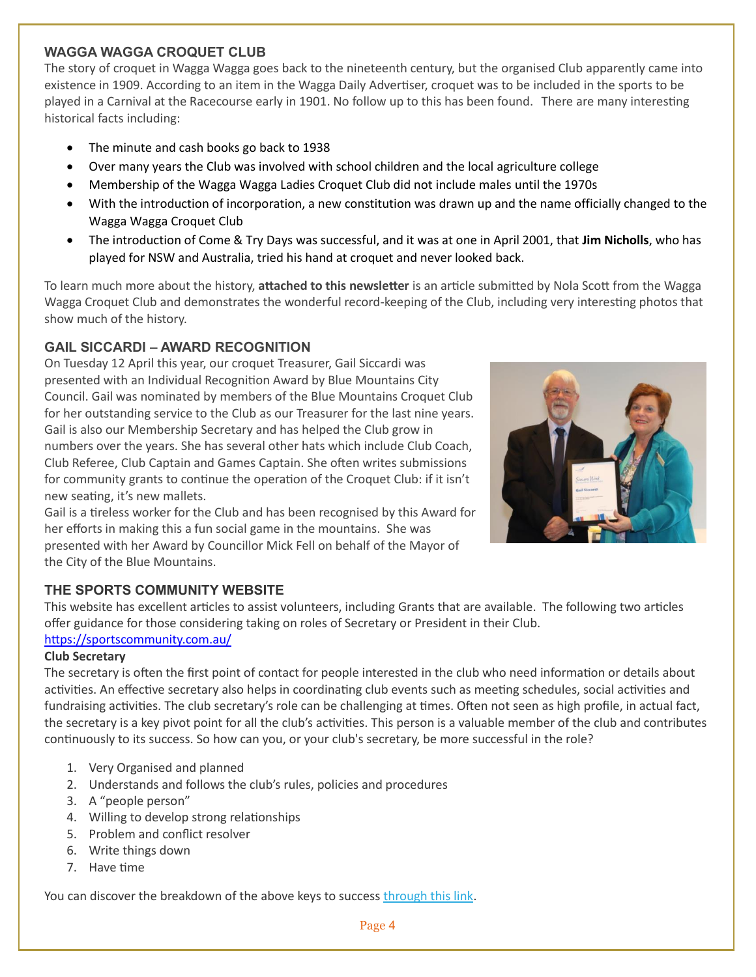#### **WAGGA WAGGA CROQUET CLUB**

The story of croquet in Wagga Wagga goes back to the nineteenth century, but the organised Club apparently came into existence in 1909. According to an item in the Wagga Daily Advertiser, croquet was to be included in the sports to be played in a Carnival at the Racecourse early in 1901. No follow up to this has been found. There are many interesting historical facts including:

- The minute and cash books go back to 1938
- Over many years the Club was involved with school children and the local agriculture college
- Membership of the Wagga Wagga Ladies Croquet Club did not include males until the 1970s
- With the introduction of incorporation, a new constitution was drawn up and the name officially changed to the Wagga Wagga Croquet Club
- The introduction of Come & Try Days was successful, and it was at one in April 2001, that **Jim Nicholls**, who has played for NSW and Australia, tried his hand at croquet and never looked back.

To learn much more about the history, **attached to this newsletter** is an article submitted by Nola Scott from the Wagga Wagga Croquet Club and demonstrates the wonderful record-keeping of the Club, including very interesting photos that show much of the history.

#### **GAIL SICCARDI – AWARD RECOGNITION**

On Tuesday 12 April this year, our croquet Treasurer, Gail Siccardi was presented with an Individual Recognition Award by Blue Mountains City Council. Gail was nominated by members of the Blue Mountains Croquet Club for her outstanding service to the Club as our Treasurer for the last nine years. Gail is also our Membership Secretary and has helped the Club grow in numbers over the years. She has several other hats which include Club Coach, Club Referee, Club Captain and Games Captain. She often writes submissions for community grants to continue the operation of the Croquet Club: if it isn't new seating, it's new mallets.



Gail is a tireless worker for the Club and has been recognised by this Award for her efforts in making this a fun social game in the mountains. She was presented with her Award by Councillor Mick Fell on behalf of the Mayor of the City of the Blue Mountains.

#### **THE SPORTS COMMUNITY WEBSITE**

This website has excellent articles to assist volunteers, including Grants that are available. The following two articles offer guidance for those considering taking on roles of Secretary or President in their Club. <https://sportscommunity.com.au/>

#### **Club Secretary**

The secretary is often the first point of contact for people interested in the club who need information or details about activities. An effective secretary also helps in coordinating club events such as meeting schedules, social activities and fundraising activities. The club secretary's role can be challenging at times. Often not seen as high profile, in actual fact, the secretary is a key pivot point for all the club's activities. This person is a valuable member of the club and contributes continuously to its success. So how can you, or your club's secretary, be more successful in the role?

- 1. Very Organised and planned
- 2. Understands and follows the club's rules, policies and procedures
- 3. A "people person"
- 4. Willing to develop strong relationships
- 5. Problem and conflict resolver
- 6. Write things down
- 7. Have time

You can discover the breakdown of the above keys to succes[s through this link.](https://np366.keap-link017.com/v2/click/e5cd0c2d65f9992bd5e2d1a079e17b34/eJyNUE1vwjAM_S8-N2RQxtbeEEKoKnCYtvMUUqNFNE6UOEgV6n9fYBunTdrN8vvwe74AIynipoMayJeLBRQQUBtvkHjliJW-gWU1m80L6A2dNsElD_XlN-kdv26refX0WAAPHjPl9WW5apv95n3b7NtM9SrkE__xmZblw_P0brTeLZstjOOfzmgNr8_ZPELNIeG1UWdyK34LfeZ_MPtYSxm9Cxy1szaR4WGSp4lKUvfpICzaAwZp6OiCVWwciTyJiDogq2AwSqtOGEVMWmOMx9SLm_CHMcicRHmP1H2_scXhK8_4CXG8fkg=)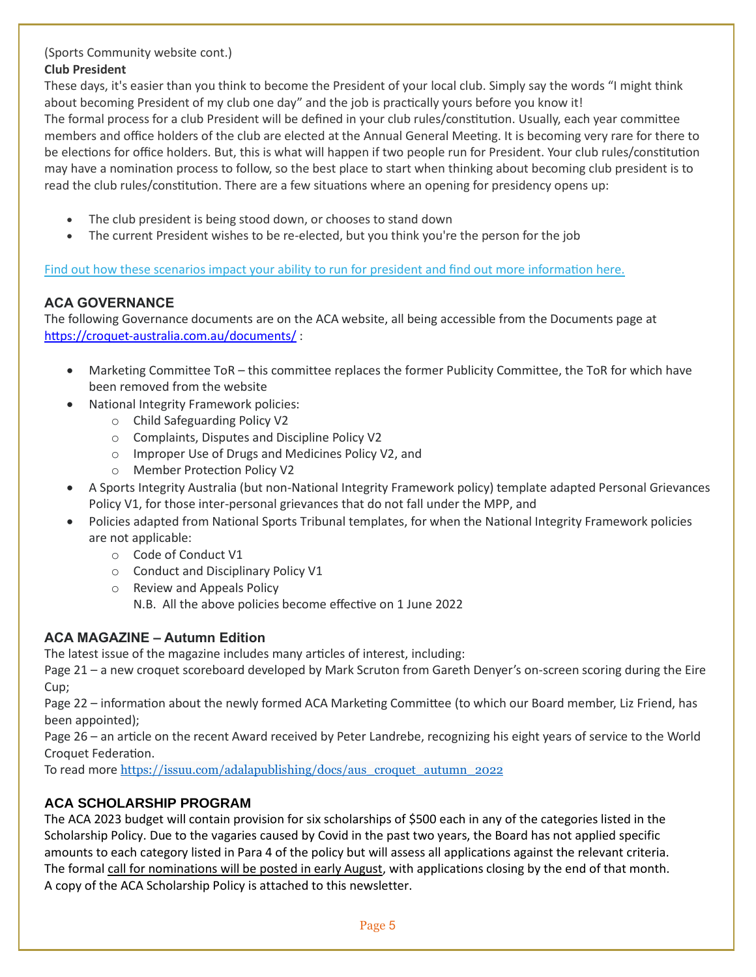#### (Sports Community website cont.) **Club President**

These days, it's easier than you think to become the President of your local club. Simply say the words "I might think about becoming President of my club one day" and the job is practically yours before you know it! The formal process for a club President will be defined in your club rules/constitution. Usually, each year committee members and office holders of the club are elected at the Annual General Meeting. It is becoming very rare for there to be elections for office holders. But, this is what will happen if two people run for President. Your club rules/constitution may have a nomination process to follow, so the best place to start when thinking about becoming club president is to read the club rules/constitution. There are a few situations where an opening for presidency opens up:

- The club president is being stood down, or chooses to stand down
- The current President wishes to be re-elected, but you think you're the person for the job

[Find out how these scenarios impact your ability to run for president and](https://np366.keap-link002.com/v2/click/bf2eea43b4041b47b9c91873e333162d/eJyNkE1LAzEQhv9LzpumNWyLeyullGXbHkTPkt2MGNxMQjIpLmX_u4lKvSh4m4_3febjyghQIbWaNQy9XK9ZxQIMxhtA2jkkNXw2Vxu5rDcVGw2-HYJLnjXX37y3fqne13IpK0aThyx5fNjuuvZ8eD625y5LvQp5xn84KynvZH0D7U_b9sjm-U8yWEP7S4ZH1lBIUE7SJp9FT2HM-lciHxshoneB4uCsTWhoWuRooZIYxtRzC7aHIAy-uGAVGYc8R9wHiEYXNFeoefEaIoAoesgJ8GKOHOGdfrQi76S8B9TfH-1g-tps_gC3FIIk) find out more information here.

#### **ACA GOVERNANCE**

The following Governance documents are on the ACA website, all being accessible from the Documents page at <https://croquet-australia.com.au/documents/> :

- Marketing Committee ToR this committee replaces the former Publicity Committee, the ToR for which have been removed from the website
- National Integrity Framework policies:
	- o Child Safeguarding Policy V2
	- o Complaints, Disputes and Discipline Policy V2
	- o Improper Use of Drugs and Medicines Policy V2, and
	- o Member Protection Policy V2
- A Sports Integrity Australia (but non-National Integrity Framework policy) template adapted Personal Grievances Policy V1, for those inter-personal grievances that do not fall under the MPP, and
- Policies adapted from National Sports Tribunal templates, for when the National Integrity Framework policies are not applicable:
	- o Code of Conduct V1
	- o Conduct and Disciplinary Policy V1
	- o Review and Appeals Policy
		- N.B. All the above policies become effective on 1 June 2022

#### **ACA MAGAZINE – Autumn Edition**

The latest issue of the magazine includes many articles of interest, including:

Page 21 – a new croquet scoreboard developed by Mark Scruton from Gareth Denyer's on-screen scoring during the Eire Cup;

Page 22 – information about the newly formed ACA Marketing Committee (to which our Board member, Liz Friend, has been appointed);

Page 26 – an article on the recent Award received by Peter Landrebe, recognizing his eight years of service to the World Croquet Federation.

To read more [https://issuu.com/adalapublishing/docs/aus\\_croquet\\_autumn\\_2022](https://issuu.com/adalapublishing/docs/aus_croquet_autumn_2022)

#### **ACA SCHOLARSHIP PROGRAM**

The ACA 2023 budget will contain provision for six scholarships of \$500 each in any of the categories listed in the Scholarship Policy. Due to the vagaries caused by Covid in the past two years, the Board has not applied specific amounts to each category listed in Para 4 of the policy but will assess all applications against the relevant criteria. The formal call for nominations will be posted in early August, with applications closing by the end of that month. A copy of the ACA Scholarship Policy is attached to this newsletter.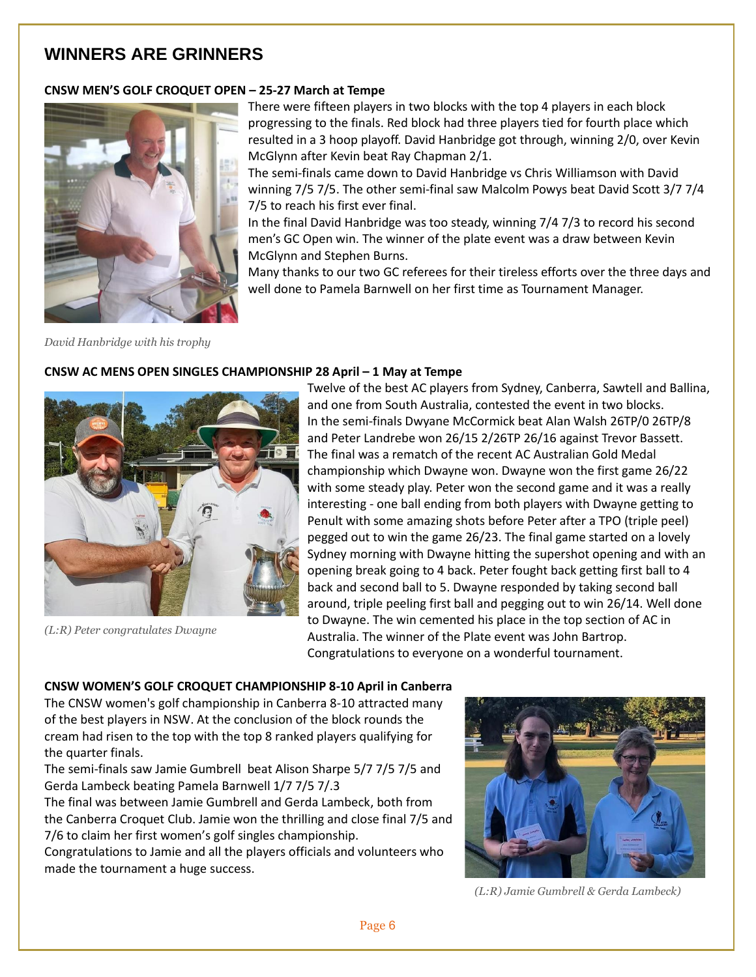## **WINNERS ARE GRINNERS**

#### **CNSW MEN'S GOLF CROQUET OPEN – 25-27 March at Tempe**



There were fifteen players in two blocks with the top 4 players in each block progressing to the finals. Red block had three players tied for fourth place which resulted in a 3 hoop playoff. David Hanbridge got through, winning 2/0, over Kevin McGlynn after Kevin beat Ray Chapman 2/1.

The semi-finals came down to David Hanbridge vs Chris Williamson with David winning 7/5 7/5. The other semi-final saw Malcolm Powys beat David Scott 3/7 7/4 7/5 to reach his first ever final.

In the final David Hanbridge was too steady, winning 7/4 7/3 to record his second men's GC Open win. The winner of the plate event was a draw between Kevin McGlynn and Stephen Burns.

Many thanks to our two GC referees for their tireless efforts over the three days and well done to Pamela Barnwell on her first time as Tournament Manager.

*David Hanbridge with his trophy*

#### **CNSW AC MENS OPEN SINGLES CHAMPIONSHIP 28 April – 1 May at Tempe**



*(L:R) Peter congratulates Dwayne*

Twelve of the best AC players from Sydney, Canberra, Sawtell and Ballina, and one from South Australia, contested the event in two blocks. In the semi-finals Dwyane McCormick beat Alan Walsh 26TP/0 26TP/8 and Peter Landrebe won 26/15 2/26TP 26/16 against Trevor Bassett. The final was a rematch of the recent AC Australian Gold Medal championship which Dwayne won. Dwayne won the first game 26/22 with some steady play. Peter won the second game and it was a really interesting - one ball ending from both players with Dwayne getting to Penult with some amazing shots before Peter after a TPO (triple peel) pegged out to win the game 26/23. The final game started on a lovely Sydney morning with Dwayne hitting the supershot opening and with an opening break going to 4 back. Peter fought back getting first ball to 4 back and second ball to 5. Dwayne responded by taking second ball around, triple peeling first ball and pegging out to win 26/14. Well done to Dwayne. The win cemented his place in the top section of AC in Australia. The winner of the Plate event was John Bartrop. Congratulations to everyone on a wonderful tournament.

#### **CNSW WOMEN'S GOLF CROQUET CHAMPIONSHIP 8-10 April in Canberra**

The CNSW women's golf championship in Canberra 8-10 attracted many of the best players in NSW. At the conclusion of the block rounds the cream had risen to the top with the top 8 ranked players qualifying for the quarter finals.

The semi-finals saw Jamie Gumbrell beat Alison Sharpe 5/7 7/5 7/5 and Gerda Lambeck beating Pamela Barnwell 1/7 7/5 7/.3

The final was between Jamie Gumbrell and Gerda Lambeck, both from the Canberra Croquet Club. Jamie won the thrilling and close final 7/5 and 7/6 to claim her first women's golf singles championship.

Congratulations to Jamie and all the players officials and volunteers who made the tournament a huge success.



 *(L:R) Jamie Gumbrell & Gerda Lambeck)*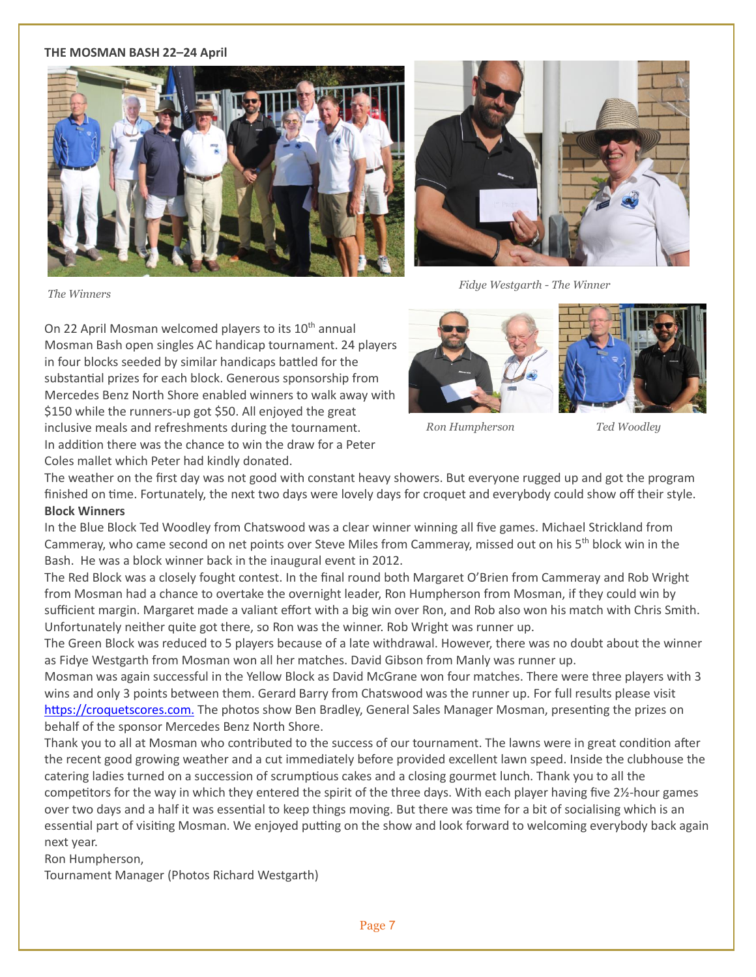#### **THE MOSMAN BASH 22–24 April**





*The Winners*

 *Fidye Westgarth - The Winner*

On 22 April Mosman welcomed players to its 10<sup>th</sup> annual Mosman Bash open singles AC handicap tournament. 24 players in four blocks seeded by similar handicaps battled for the substantial prizes for each block. Generous sponsorship from Mercedes Benz North Shore enabled winners to walk away with \$150 while the runners-up got \$50. All enjoyed the great inclusive meals and refreshments during the tournament. In addition there was the chance to win the draw for a Peter Coles mallet which Peter had kindly donated.





 *Ron Humpherson Ted Woodley*

The weather on the first day was not good with constant heavy showers. But everyone rugged up and got the program finished on time. Fortunately, the next two days were lovely days for croquet and everybody could show off their style. **Block Winners**

In the Blue Block Ted Woodley from Chatswood was a clear winner winning all five games. Michael Strickland from Cammeray, who came second on net points over Steve Miles from Cammeray, missed out on his 5th block win in the Bash. He was a block winner back in the inaugural event in 2012.

The Red Block was a closely fought contest. In the final round both Margaret O'Brien from Cammeray and Rob Wright from Mosman had a chance to overtake the overnight leader, Ron Humpherson from Mosman, if they could win by sufficient margin. Margaret made a valiant effort with a big win over Ron, and Rob also won his match with Chris Smith. Unfortunately neither quite got there, so Ron was the winner. Rob Wright was runner up.

The Green Block was reduced to 5 players because of a late withdrawal. However, there was no doubt about the winner as Fidye Westgarth from Mosman won all her matches. David Gibson from Manly was runner up.

Mosman was again successful in the Yellow Block as David McGrane won four matches. There were three players with 3 wins and only 3 points between them. Gerard Barry from Chatswood was the runner up. For full results please visit [https://croquetscores.com.](http://croquetscores.com/) The photos show Ben Bradley, General Sales Manager Mosman, presenting the prizes on behalf of the sponsor Mercedes Benz North Shore.

Thank you to all at Mosman who contributed to the success of our tournament. The lawns were in great condition after the recent good growing weather and a cut immediately before provided excellent lawn speed. Inside the clubhouse the catering ladies turned on a succession of scrumptious cakes and a closing gourmet lunch. Thank you to all the competitors for the way in which they entered the spirit of the three days. With each player having five 2½-hour games over two days and a half it was essential to keep things moving. But there was time for a bit of socialising which is an essential part of visiting Mosman. We enjoyed putting on the show and look forward to welcoming everybody back again next year.

Ron Humpherson,

Tournament Manager (Photos Richard Westgarth)